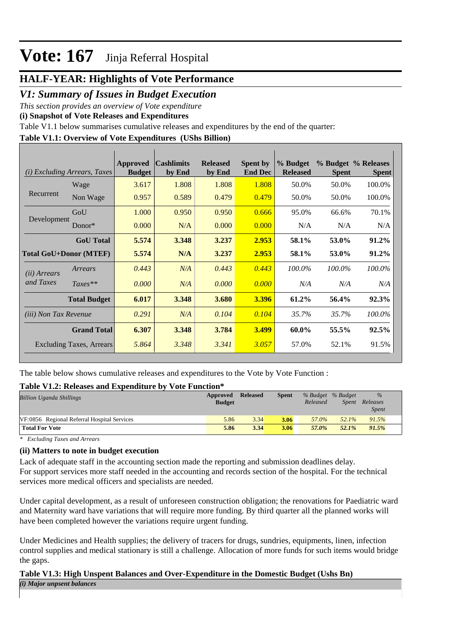### **HALF-YEAR: Highlights of Vote Performance**

### *V1: Summary of Issues in Budget Execution*

*This section provides an overview of Vote expenditure* 

**(i) Snapshot of Vote Releases and Expenditures**

Table V1.1 below summarises cumulative releases and expenditures by the end of the quarter:

### **Table V1.1: Overview of Vote Expenditures (UShs Billion)**

|                              | (i) Excluding Arrears, Taxes    | <b>Approved</b><br><b>Budget</b> | <b>Cashlimits</b><br>by End | <b>Released</b><br>by End | <b>Spent by</b><br><b>End Dec</b> | % Budget<br><b>Released</b> | <b>Spent</b> | % Budget % Releases<br><b>Spent</b> |
|------------------------------|---------------------------------|----------------------------------|-----------------------------|---------------------------|-----------------------------------|-----------------------------|--------------|-------------------------------------|
|                              | Wage                            | 3.617                            | 1.808                       | 1.808                     | 1.808                             | 50.0%                       | 50.0%        | 100.0%                              |
| Recurrent                    | Non Wage                        | 0.957                            | 0.589                       | 0.479                     | 0.479                             | 50.0%                       | 50.0%        | 100.0%                              |
|                              | GoU                             | 1.000                            | 0.950                       | 0.950                     | 0.666                             | 95.0%                       | 66.6%        | 70.1%                               |
| Development                  | Donor $*$                       | 0.000                            | N/A                         | 0.000                     | 0.000                             | N/A                         | N/A          | N/A                                 |
|                              | <b>GoU</b> Total                | 5.574                            | 3.348                       | 3.237                     | 2.953                             | 58.1%                       | 53.0%        | 91.2%                               |
| Total GoU+Donor (MTEF)       |                                 | 5.574                            | N/A                         | 3.237                     | 2.953                             | 58.1%                       | 53.0%        | 91.2%                               |
| ( <i>ii</i> ) Arrears        | Arrears                         | 0.443                            | N/A                         | 0.443                     | 0.443                             | 100.0%                      | 100.0%       | 100.0%                              |
| and Taxes                    | $Taxes**$                       | 0.000                            | N/A                         | 0.000                     | 0.000                             | N/A                         | N/A          | N/A                                 |
|                              | <b>Total Budget</b>             | 6.017                            | 3.348                       | 3.680                     | 3.396                             | 61.2%                       | 56.4%        | 92.3%                               |
| <i>(iii)</i> Non Tax Revenue |                                 | 0.291                            | N/A                         | 0.104                     | 0.104                             | 35.7%                       | 35.7%        | 100.0%                              |
|                              | <b>Grand Total</b>              | 6.307                            | 3.348                       | 3.784                     | 3.499                             | 60.0%                       | 55.5%        | 92.5%                               |
|                              | <b>Excluding Taxes, Arrears</b> | 5.864                            | 3.348                       | 3.341                     | 3.057                             | 57.0%                       | 52.1%        | 91.5%                               |

The table below shows cumulative releases and expenditures to the Vote by Vote Function :

#### **Table V1.2: Releases and Expenditure by Vote Function\***

| <b>Billion Uganda Shillings</b>             | Approved<br><b>Budget</b> | <b>Released</b> | <b>Spent</b> | % Budget % Budget<br>Released | Spent    | $\%$<br>Releases<br><b>Spent</b> |
|---------------------------------------------|---------------------------|-----------------|--------------|-------------------------------|----------|----------------------------------|
| VF:0856 Regional Referral Hospital Services | 5.86                      | 3.34            | 3.06         | 57.0%                         | $52.1\%$ | 91.5%                            |
| <b>Total For Vote</b>                       | 5.86                      | 3.34            | 3.06         | 57.0%                         | $52.1\%$ | 91.5%                            |

*\* Excluding Taxes and Arrears*

#### **(ii) Matters to note in budget execution**

Lack of adequate staff in the accounting section made the reporting and submission deadlines delay. For support services more staff needed in the accounting and records section of the hospital. For the technical services more medical officers and specialists are needed.

Under capital development, as a result of unforeseen construction obligation; the renovations for Paediatric ward and Maternity ward have variations that will require more funding. By third quarter all the planned works will have been completed however the variations require urgent funding.

Under Medicines and Health supplies; the delivery of tracers for drugs, sundries, equipments, linen, infection control supplies and medical stationary is still a challenge. Allocation of more funds for such items would bridge the gaps.

#### **Table V1.3: High Unspent Balances and Over-Expenditure in the Domestic Budget (Ushs Bn)** *(i) Major unpsent balances*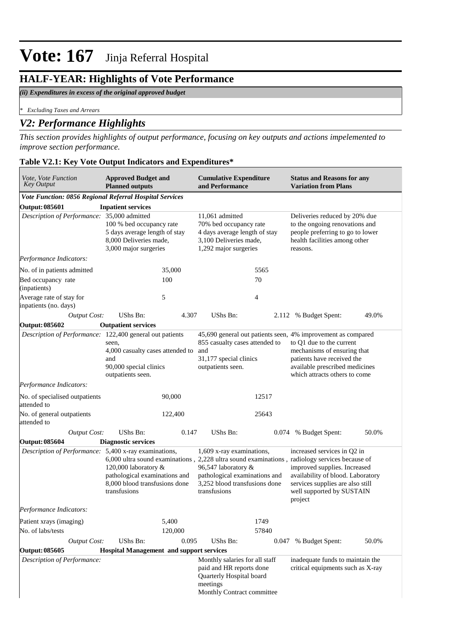## **HALF-YEAR: Highlights of Vote Performance**

#### *(ii) Expenditures in excess of the original approved budget*

*\* Excluding Taxes and Arrears*

### *V2: Performance Highlights*

*This section provides highlights of output performance, focusing on key outputs and actions impelemented to improve section performance.*

## **Table V2.1: Key Vote Output Indicators and Expenditures\***

| Vote, Vote Function<br><b>Key Output</b>                | <b>Approved Budget and</b><br><b>Planned outputs</b>                                                                                                        |         | <b>Cumulative Expenditure</b><br>and Performance                                                                                   |       | <b>Status and Reasons for any</b><br><b>Variation from Plans</b>                                                                                                                                                                                                              |       |  |
|---------------------------------------------------------|-------------------------------------------------------------------------------------------------------------------------------------------------------------|---------|------------------------------------------------------------------------------------------------------------------------------------|-------|-------------------------------------------------------------------------------------------------------------------------------------------------------------------------------------------------------------------------------------------------------------------------------|-------|--|
| Vote Function: 0856 Regional Referral Hospital Services |                                                                                                                                                             |         |                                                                                                                                    |       |                                                                                                                                                                                                                                                                               |       |  |
| <b>Output: 085601</b>                                   | <b>Inpatient services</b>                                                                                                                                   |         |                                                                                                                                    |       |                                                                                                                                                                                                                                                                               |       |  |
| Description of Performance: 35,000 admitted             | 100 % bed occupancy rate<br>5 days average length of stay<br>8,000 Deliveries made,<br>3,000 major surgeries                                                |         | 11.061 admitted<br>70% bed occupancy rate<br>4 days average length of stay<br>3,100 Deliveries made,<br>1,292 major surgeries      |       | Deliveries reduced by 20% due<br>to the ongoing renovations and<br>people preferring to go to lower<br>health facilities among other<br>reasons.                                                                                                                              |       |  |
| Performance Indicators:                                 |                                                                                                                                                             |         |                                                                                                                                    |       |                                                                                                                                                                                                                                                                               |       |  |
| No. of in patients admitted                             |                                                                                                                                                             | 35,000  |                                                                                                                                    | 5565  |                                                                                                                                                                                                                                                                               |       |  |
| Bed occupancy rate<br>(inpatients)                      |                                                                                                                                                             | 100     | 70                                                                                                                                 |       |                                                                                                                                                                                                                                                                               |       |  |
| Average rate of stay for<br>inpatients (no. days)       |                                                                                                                                                             | 5       |                                                                                                                                    | 4     |                                                                                                                                                                                                                                                                               |       |  |
| <b>Output Cost:</b>                                     | UShs Bn:                                                                                                                                                    | 4.307   | UShs Bn:                                                                                                                           |       | 2.112 % Budget Spent:                                                                                                                                                                                                                                                         | 49.0% |  |
| <b>Output: 085602</b>                                   | <b>Outpatient services</b>                                                                                                                                  |         |                                                                                                                                    |       |                                                                                                                                                                                                                                                                               |       |  |
|                                                         | Description of Performance: 122,400 general out patients<br>seen,<br>4,000 casualty cases attended to<br>and<br>90,000 special clinics<br>outpatients seen. |         | 855 casualty cases attended to<br>and<br>31,177 special clinics<br>outpatients seen.                                               |       | 45,690 general out patients seen, 4% improvement as compared<br>to Q1 due to the current<br>mechanisms of ensuring that<br>patients have received the<br>available prescribed medicines<br>which attracts others to come                                                      |       |  |
| Performance Indicators:                                 |                                                                                                                                                             |         |                                                                                                                                    |       |                                                                                                                                                                                                                                                                               |       |  |
| No. of specialised outpatients<br>attended to           |                                                                                                                                                             | 90,000  | 12517                                                                                                                              |       |                                                                                                                                                                                                                                                                               |       |  |
| No. of general outpatients<br>attended to               |                                                                                                                                                             | 122,400 |                                                                                                                                    | 25643 |                                                                                                                                                                                                                                                                               |       |  |
| <b>Output Cost:</b>                                     | UShs Bn:                                                                                                                                                    | 0.147   | UShs Bn:                                                                                                                           |       | 0.074 % Budget Spent:                                                                                                                                                                                                                                                         | 50.0% |  |
| <b>Output: 085604</b>                                   | <b>Diagnostic services</b>                                                                                                                                  |         |                                                                                                                                    |       |                                                                                                                                                                                                                                                                               |       |  |
| Description of Performance: 5,400 x-ray examinations,   | 120,000 laboratory &<br>pathological examinations and<br>8,000 blood transfusions done<br>transfusions                                                      |         | 1,609 x-ray examinations,<br>96,547 laboratory &<br>pathological examinations and<br>3,252 blood transfusions done<br>transfusions |       | increased services in Q2 in<br>6,000 ultra sound examinations, 2,228 ultra sound examinations, radiology services because of<br>improved supplies. Increased<br>availability of blood. Laboratory<br>services supplies are also still<br>well supported by SUSTAIN<br>project |       |  |
| Performance Indicators:                                 |                                                                                                                                                             |         |                                                                                                                                    |       |                                                                                                                                                                                                                                                                               |       |  |
| Patient xrays (imaging)                                 |                                                                                                                                                             | 5,400   |                                                                                                                                    | 1749  |                                                                                                                                                                                                                                                                               |       |  |
| No. of labs/tests                                       |                                                                                                                                                             | 120,000 |                                                                                                                                    | 57840 |                                                                                                                                                                                                                                                                               |       |  |
| Output Cost:                                            | UShs Bn:                                                                                                                                                    | 0.095   | UShs Bn:                                                                                                                           |       | 0.047 % Budget Spent:                                                                                                                                                                                                                                                         | 50.0% |  |
| Output: 085605                                          | <b>Hospital Management and support services</b>                                                                                                             |         |                                                                                                                                    |       |                                                                                                                                                                                                                                                                               |       |  |
| Description of Performance:                             |                                                                                                                                                             |         | Monthly salaries for all staff<br>paid and HR reports done<br>Quarterly Hospital board<br>meetings<br>Monthly Contract committee   |       | inadequate funds to maintain the<br>critical equipments such as X-ray                                                                                                                                                                                                         |       |  |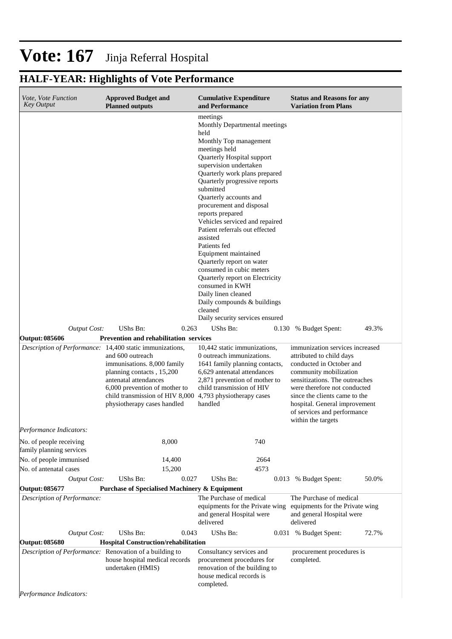## **HALF-YEAR: Highlights of Vote Performance**

| Vote, Vote Function<br><b>Key Output</b>                                                                 | <b>Approved Budget and</b><br><b>Planned outputs</b>                                                                                                                                                                                                                                | <b>Cumulative Expenditure</b><br>and Performance                                                                                                                                                                                                                                                                                                                                                                                                                                                                                                                                                                                                         | <b>Status and Reasons for any</b><br><b>Variation from Plans</b>                                                                                                                                                                                                                                           |  |  |
|----------------------------------------------------------------------------------------------------------|-------------------------------------------------------------------------------------------------------------------------------------------------------------------------------------------------------------------------------------------------------------------------------------|----------------------------------------------------------------------------------------------------------------------------------------------------------------------------------------------------------------------------------------------------------------------------------------------------------------------------------------------------------------------------------------------------------------------------------------------------------------------------------------------------------------------------------------------------------------------------------------------------------------------------------------------------------|------------------------------------------------------------------------------------------------------------------------------------------------------------------------------------------------------------------------------------------------------------------------------------------------------------|--|--|
|                                                                                                          |                                                                                                                                                                                                                                                                                     | meetings<br>Monthly Departmental meetings<br>held<br>Monthly Top management<br>meetings held<br>Quarterly Hospital support<br>supervision undertaken<br>Quarterly work plans prepared<br>Quarterly progressive reports<br>submitted<br>Quarterly accounts and<br>procurement and disposal<br>reports prepared<br>Vehicles serviced and repaired<br>Patient referrals out effected<br>assisted<br>Patients fed<br>Equipment maintained<br>Quarterly report on water<br>consumed in cubic meters<br>Quarterly report on Electricity<br>consumed in KWH<br>Daily linen cleaned<br>Daily compounds & buildings<br>cleaned<br>Daily security services ensured |                                                                                                                                                                                                                                                                                                            |  |  |
| <b>Output Cost:</b>                                                                                      | UShs Bn:<br>0.263                                                                                                                                                                                                                                                                   | UShs Bn:                                                                                                                                                                                                                                                                                                                                                                                                                                                                                                                                                                                                                                                 | 49.3%<br>0.130 % Budget Spent:                                                                                                                                                                                                                                                                             |  |  |
| Output: 085606<br>Description of Performance: 14,400 static immunizations,                               | <b>Prevention and rehabilitation services</b><br>and 600 outreach<br>immunisations. 8,000 family<br>planning contacts, 15,200<br>antenatal attendances<br>6,000 prevention of mother to<br>child transmission of HIV 8,000 4,793 physiotherapy cases<br>physiotherapy cases handled | 10,442 static immunizations,<br>0 outreach immunizations.<br>1641 family planning contacts,<br>6,629 antenatal attendances<br>2,871 prevention of mother to<br>child transmission of HIV<br>handled                                                                                                                                                                                                                                                                                                                                                                                                                                                      | immunization services increased<br>attributed to child days<br>conducted in October and<br>community mobilization<br>sensitizations. The outreaches<br>were therefore not conducted<br>since the clients came to the<br>hospital. General improvement<br>of services and performance<br>within the targets |  |  |
| Performance Indicators:                                                                                  |                                                                                                                                                                                                                                                                                     |                                                                                                                                                                                                                                                                                                                                                                                                                                                                                                                                                                                                                                                          |                                                                                                                                                                                                                                                                                                            |  |  |
| No. of people receiving<br>family planning services<br>No. of people immunised<br>No. of antenatal cases | 8,000<br>14,400<br>15,200                                                                                                                                                                                                                                                           | 740<br>2664<br>4573                                                                                                                                                                                                                                                                                                                                                                                                                                                                                                                                                                                                                                      |                                                                                                                                                                                                                                                                                                            |  |  |
| <b>Output Cost:</b>                                                                                      | UShs Bn:<br>0.027                                                                                                                                                                                                                                                                   | UShs Bn:                                                                                                                                                                                                                                                                                                                                                                                                                                                                                                                                                                                                                                                 | 50.0%<br>0.013 % Budget Spent:                                                                                                                                                                                                                                                                             |  |  |
| Output: 085677<br>Description of Performance:                                                            | <b>Purchase of Specialised Machinery &amp; Equipment</b>                                                                                                                                                                                                                            | The Purchase of medical<br>equipments for the Private wing equipments for the Private wing<br>and general Hospital were<br>delivered                                                                                                                                                                                                                                                                                                                                                                                                                                                                                                                     | The Purchase of medical<br>and general Hospital were<br>delivered                                                                                                                                                                                                                                          |  |  |
| <b>Output Cost:</b>                                                                                      | UShs Bn:<br>0.043                                                                                                                                                                                                                                                                   | UShs Bn:                                                                                                                                                                                                                                                                                                                                                                                                                                                                                                                                                                                                                                                 | 0.031 % Budget Spent:<br>72.7%                                                                                                                                                                                                                                                                             |  |  |
| Output: 085680                                                                                           | <b>Hospital Construction/rehabilitation</b>                                                                                                                                                                                                                                         |                                                                                                                                                                                                                                                                                                                                                                                                                                                                                                                                                                                                                                                          |                                                                                                                                                                                                                                                                                                            |  |  |
| Description of Performance: Renovation of a building to<br>Performance Indicators:                       | house hospital medical records<br>undertaken (HMIS)                                                                                                                                                                                                                                 | Consultancy services and<br>procurement procedures for<br>renovation of the building to<br>house medical records is<br>completed.                                                                                                                                                                                                                                                                                                                                                                                                                                                                                                                        | procurement procedures is<br>completed.                                                                                                                                                                                                                                                                    |  |  |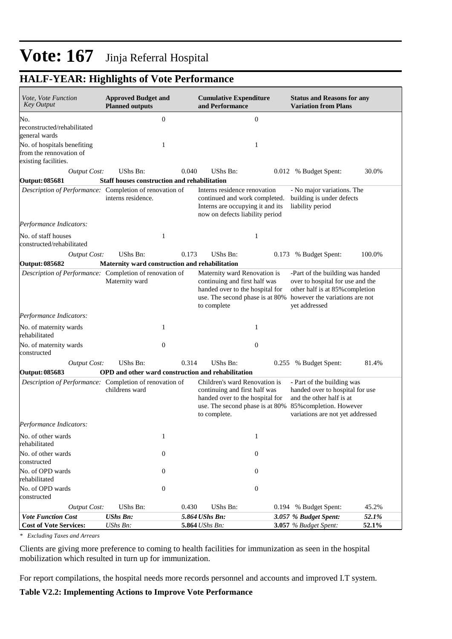## **HALF-YEAR: Highlights of Vote Performance**

| Vote, Vote Function<br><b>Key Output</b>                                       | <b>Approved Budget and</b><br><b>Planned outputs</b> |                  | <b>Cumulative Expenditure</b><br>and Performance                                                                                                     |                  | <b>Status and Reasons for any</b><br><b>Variation from Plans</b>                                                                                           |                |
|--------------------------------------------------------------------------------|------------------------------------------------------|------------------|------------------------------------------------------------------------------------------------------------------------------------------------------|------------------|------------------------------------------------------------------------------------------------------------------------------------------------------------|----------------|
| No.                                                                            |                                                      | $\boldsymbol{0}$ |                                                                                                                                                      | $\boldsymbol{0}$ |                                                                                                                                                            |                |
| reconstructed/rehabilitated<br>general wards                                   |                                                      |                  |                                                                                                                                                      |                  |                                                                                                                                                            |                |
| No. of hospitals benefiting<br>from the rennovation of<br>existing facilities. |                                                      | 1                |                                                                                                                                                      | 1                |                                                                                                                                                            |                |
| <b>Output Cost:</b>                                                            | UShs Bn:                                             | 0.040            | UShs Bn:                                                                                                                                             |                  | 0.012 % Budget Spent:                                                                                                                                      | 30.0%          |
| Output: 085681                                                                 | <b>Staff houses construction and rehabilitation</b>  |                  |                                                                                                                                                      |                  |                                                                                                                                                            |                |
| Description of Performance: Completion of renovation of                        | interns residence.                                   |                  | Interns residence renovation<br>continued and work completed.<br>Interns are occupying it and its<br>now on defects liability period                 |                  | - No major variations. The<br>building is under defects<br>liability period                                                                                |                |
| Performance Indicators:                                                        |                                                      |                  |                                                                                                                                                      |                  |                                                                                                                                                            |                |
| No. of staff houses<br>constructed/rehabilitated                               |                                                      | 1                |                                                                                                                                                      | $\mathbf{1}$     |                                                                                                                                                            |                |
| <b>Output Cost:</b>                                                            | UShs Bn:                                             | 0.173            | UShs Bn:                                                                                                                                             |                  | 0.173 % Budget Spent:                                                                                                                                      | 100.0%         |
| Output: 085682                                                                 | Maternity ward construction and rehabilitation       |                  |                                                                                                                                                      |                  |                                                                                                                                                            |                |
| Description of Performance: Completion of renovation of                        | Maternity ward                                       |                  | Maternity ward Renovation is<br>continuing and first half was<br>handed over to the hospital for<br>use. The second phase is at 80%<br>to complete   |                  | -Part of the building was handed<br>over to hospital for use and the<br>other half is at 85% completion<br>however the variations are not<br>yet addressed |                |
| Performance Indicators:                                                        |                                                      |                  |                                                                                                                                                      |                  |                                                                                                                                                            |                |
| No. of maternity wards<br>rehabilitated                                        |                                                      | 1                |                                                                                                                                                      | 1                |                                                                                                                                                            |                |
| No. of maternity wards<br>constructed                                          |                                                      | $\overline{0}$   |                                                                                                                                                      | $\theta$         |                                                                                                                                                            |                |
| Output Cost:                                                                   | UShs Bn:                                             | 0.314            | UShs Bn:                                                                                                                                             |                  | 0.255 % Budget Spent:                                                                                                                                      | 81.4%          |
| Output: 085683                                                                 | OPD and other ward construction and rehabilitation   |                  |                                                                                                                                                      |                  |                                                                                                                                                            |                |
| Description of Performance: Completion of renovation of                        | childrens ward                                       |                  | Children's ward Renovation is<br>continuing and first half was<br>handed over to the hospital for<br>use. The second phase is at 80%<br>to complete. |                  | - Part of the building was<br>handed over to hospital for use<br>and the other half is at<br>85% completion. However<br>variations are not yet addressed   |                |
| Performance Indicators:                                                        |                                                      |                  |                                                                                                                                                      |                  |                                                                                                                                                            |                |
| No. of other wards<br>rehabilitated                                            |                                                      | $\mathbf{1}$     |                                                                                                                                                      | 1                |                                                                                                                                                            |                |
| No. of other wards<br>constructed                                              |                                                      | $\boldsymbol{0}$ |                                                                                                                                                      | $\boldsymbol{0}$ |                                                                                                                                                            |                |
| No. of OPD wards<br>rehabilitated                                              |                                                      | $\boldsymbol{0}$ |                                                                                                                                                      | $\boldsymbol{0}$ |                                                                                                                                                            |                |
| No. of OPD wards                                                               |                                                      | $\boldsymbol{0}$ |                                                                                                                                                      | $\boldsymbol{0}$ |                                                                                                                                                            |                |
| constructed                                                                    |                                                      |                  |                                                                                                                                                      |                  |                                                                                                                                                            |                |
| <b>Output Cost:</b>                                                            | <b>UShs Bn:</b>                                      | 0.430            | UShs Bn:                                                                                                                                             |                  | 0.194 % Budget Spent:                                                                                                                                      | 45.2%          |
| <b>Vote Function Cost</b><br><b>Cost of Vote Services:</b>                     | <b>UShs Bn:</b><br>UShs Bn:                          |                  | 5.864 UShs Bn:<br>5.864 UShs Bn:                                                                                                                     |                  | 3.057 % Budget Spent:<br>3.057 % Budget Spent:                                                                                                             | 52.1%<br>52.1% |

*\* Excluding Taxes and Arrears*

Clients are giving more preference to coming to health facilities for immunization as seen in the hospital mobilization which resulted in turn up for immunization.

For report compilations, the hospital needs more records personnel and accounts and improved I.T system.

#### **Table V2.2: Implementing Actions to Improve Vote Performance**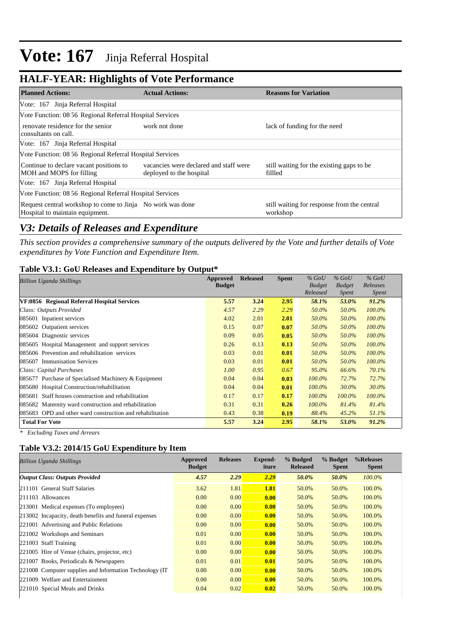### **HALF-YEAR: Highlights of Vote Performance**

| <b>Planned Actions:</b>                                                                       | <b>Actual Actions:</b>                                             | <b>Reasons for Variation</b>                            |
|-----------------------------------------------------------------------------------------------|--------------------------------------------------------------------|---------------------------------------------------------|
| Vote: 167 Jinja Referral Hospital                                                             |                                                                    |                                                         |
| Vote Function: 08 56 Regional Referral Hospital Services                                      |                                                                    |                                                         |
| renovate residence for the senior<br>consultants on call.                                     | work not done                                                      | lack of funding for the need                            |
| Vote: 167 Jinja Referral Hospital                                                             |                                                                    |                                                         |
| Vote Function: 08 56 Regional Referral Hospital Services                                      |                                                                    |                                                         |
| Continue to declare vacant positions to<br>MOH and MOPS for filling                           | vacancies were declared and staff were<br>deployed to the hospital | still waiting for the existing gaps to be<br>fillled    |
| Vote: 167 Jinja Referral Hospital                                                             |                                                                    |                                                         |
| Vote Function: 08 56 Regional Referral Hospital Services                                      |                                                                    |                                                         |
| Request central workshop to come to Jinja No work was done<br>Hospital to maintain equipment. |                                                                    | still waiting for response from the central<br>workshop |

### *V3: Details of Releases and Expenditure*

*This section provides a comprehensive summary of the outputs delivered by the Vote and further details of Vote expenditures by Vote Function and Expenditure Item.*

#### **Table V3.1: GoU Releases and Expenditure by Output\***

| Billion Uganda Shillings                                  | Approved      | <b>Released</b> | <b>Spent</b> | $\%$ GoU      | $%$ GoU       | $%$ GoU      |
|-----------------------------------------------------------|---------------|-----------------|--------------|---------------|---------------|--------------|
|                                                           | <b>Budget</b> |                 |              | <b>Budget</b> | <b>Budget</b> | Releases     |
|                                                           |               |                 |              | Released      | <i>Spent</i>  | <i>Spent</i> |
| VF:0856 Regional Referral Hospital Services               | 5.57          | 3.24            | 2.95         | 58.1%         | 53.0%         | 91.2%        |
| Class: Outputs Provided                                   | 4.57          | 2.29            | 2.29         | 50.0%         | 50.0%         | $100.0\%$    |
| 085601 Inpatient services                                 | 4.02          | 2.01            | 2.01         | 50.0%         | 50.0%         | 100.0%       |
| 085602 Outpatient services                                | 0.15          | 0.07            | 0.07         | 50.0%         | 50.0%         | $100.0\%$    |
| 085604 Diagnostic services                                | 0.09          | 0.05            | 0.05         | 50.0%         | 50.0%         | $100.0\%$    |
| 085605 Hospital Management and support services           | 0.26          | 0.13            | 0.13         | 50.0%         | 50.0%         | 100.0%       |
| 085606 Prevention and rehabilitation services             | 0.03          | 0.01            | 0.01         | 50.0%         | 50.0%         | $100.0\%$    |
| 085607 Immunisation Services                              | 0.03          | 0.01            | 0.01         | 50.0%         | 50.0%         | $100.0\%$    |
| Class: Capital Purchases                                  | 1.00          | 0.95            | 0.67         | 95.0%         | 66.6%         | 70.1%        |
| 085677 Purchase of Specialised Machinery & Equipment      | 0.04          | 0.04            | 0.03         | $100.0\%$     | 72.7%         | 72.7%        |
| 085680 Hospital Construction/rehabilitation               | 0.04          | 0.04            | 0.01         | $100.0\%$     | 30.0%         | 30.0%        |
| 085681 Staff houses construction and rehabilitation       | 0.17          | 0.17            | 0.17         | $100.0\%$     | $100.0\%$     | 100.0%       |
| 085682 Maternity ward construction and rehabilitation     | 0.31          | 0.31            | 0.26         | $100.0\%$     | 81.4%         | 81.4%        |
| 085683 OPD and other ward construction and rehabilitation | 0.43          | 0.38            | 0.19         | 88.4%         | 45.2%         | 51.1%        |
| <b>Total For Vote</b>                                     | 5.57          | 3.24            | 2.95         | 58.1%         | 53.0%         | 91.2%        |

*\* Excluding Taxes and Arrears*

### **Table V3.2: 2014/15 GoU Expenditure by Item**

| <b>Billion Uganda Shillings</b>                          | <b>Approved</b><br><b>Budget</b> | <b>Releases</b> | Expend-<br>iture | % Budged<br><b>Released</b> | % Budget<br><b>Spent</b> | %Releases<br><b>Spent</b> |
|----------------------------------------------------------|----------------------------------|-----------------|------------------|-----------------------------|--------------------------|---------------------------|
| <b>Output Class: Outputs Provided</b>                    | 4.57                             | 2.29            | 2.29             | 50.0%                       | 50.0%                    | $100.0\%$                 |
| 211101 General Staff Salaries                            | 3.62                             | 1.81            | <b>1.81</b>      | 50.0%                       | 50.0%                    | 100.0%                    |
| 211103 Allowances                                        | 0.00                             | 0.00            | 0.00             | 50.0%                       | 50.0%                    | 100.0%                    |
| 213001 Medical expenses (To employees)                   | 0.00                             | 0.00            | 0.00             | 50.0%                       | 50.0%                    | 100.0%                    |
| 213002 Incapacity, death benefits and funeral expenses   | 0.00                             | 0.00            | 0.00             | 50.0%                       | 50.0%                    | 100.0%                    |
| 221001 Advertising and Public Relations                  | 0.00                             | 0.00            | 0.00             | 50.0%                       | 50.0%                    | 100.0%                    |
| 221002 Workshops and Seminars                            | 0.01                             | 0.00            | 0.00             | 50.0%                       | 50.0%                    | 100.0%                    |
| 221003 Staff Training                                    | 0.01                             | 0.00            | 0.00             | 50.0%                       | 50.0%                    | 100.0%                    |
| 221005 Hire of Venue (chairs, projector, etc)            | 0.00                             | 0.00            | 0.00             | 50.0%                       | 50.0%                    | 100.0%                    |
| 221007 Books, Periodicals & Newspapers                   | 0.01                             | 0.01            | 0.01             | 50.0%                       | 50.0%                    | 100.0%                    |
| 221008 Computer supplies and Information Technology (IT) | 0.00                             | 0.00            | 0.00             | 50.0%                       | 50.0%                    | 100.0%                    |
| 221009 Welfare and Entertainment                         | 0.00                             | 0.00            | 0.00             | 50.0%                       | 50.0%                    | 100.0%                    |
| 221010 Special Meals and Drinks                          | 0.04                             | 0.02            | 0.02             | 50.0%                       | 50.0%                    | 100.0%                    |